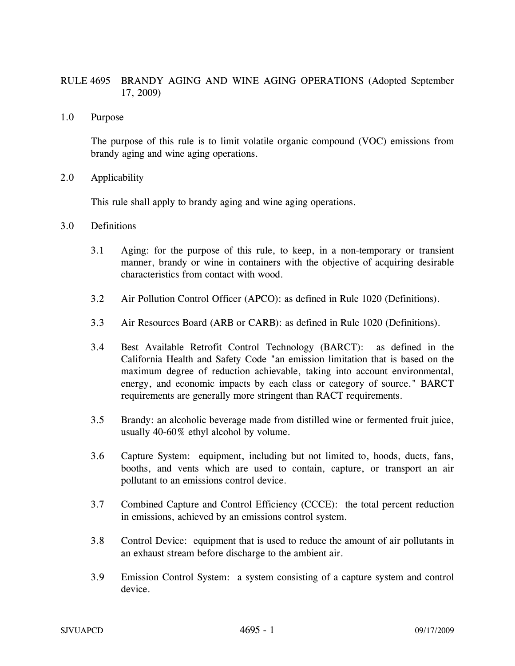## RULE 4695 BRANDY AGING AND WINE AGING OPERATIONS (Adopted September 17, 2009)

1.0 Purpose

The purpose of this rule is to limit volatile organic compound (VOC) emissions from brandy aging and wine aging operations.

2.0 Applicability

This rule shall apply to brandy aging and wine aging operations.

- 3.0 Definitions
	- 3.1 Aging: for the purpose of this rule, to keep, in a non-temporary or transient manner, brandy or wine in containers with the objective of acquiring desirable characteristics from contact with wood.
	- 3.2 Air Pollution Control Officer (APCO): as defined in Rule 1020 (Definitions).
	- 3.3 Air Resources Board (ARB or CARB): as defined in Rule 1020 (Definitions).
	- 3.4 Best Available Retrofit Control Technology (BARCT): as defined in the California Health and Safety Code "an emission limitation that is based on the maximum degree of reduction achievable, taking into account environmental, energy, and economic impacts by each class or category of source." BARCT requirements are generally more stringent than RACT requirements.
	- 3.5 Brandy: an alcoholic beverage made from distilled wine or fermented fruit juice, usually 40-60% ethyl alcohol by volume.
	- 3.6 Capture System: equipment, including but not limited to, hoods, ducts, fans, booths, and vents which are used to contain, capture, or transport an air pollutant to an emissions control device.
	- 3.7 Combined Capture and Control Efficiency (CCCE): the total percent reduction in emissions, achieved by an emissions control system.
	- 3.8 Control Device: equipment that is used to reduce the amount of air pollutants in an exhaust stream before discharge to the ambient air.
	- 3.9 Emission Control System: a system consisting of a capture system and control device.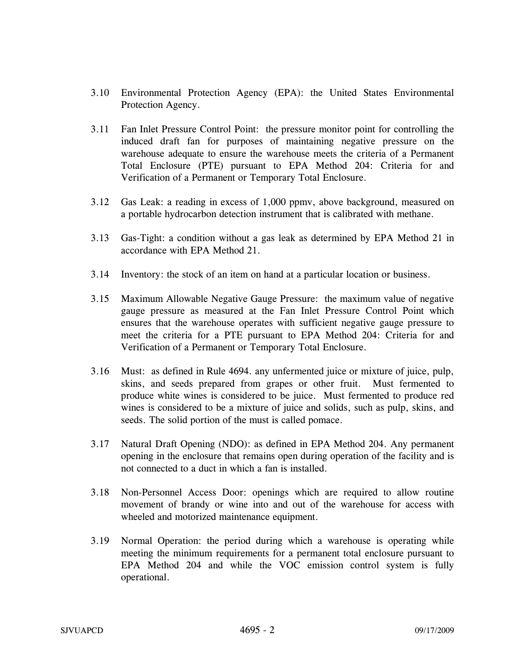- 3.10 Environmental Protection Agency (EPA): the United States Environmental Protection Agency.
- 3.11 Fan Inlet Pressure Control Point: the pressure monitor point for controlling the induced draft fan for purposes of maintaining negative pressure on the warehouse adequate to ensure the warehouse meets the criteria of a Permanent Total Enclosure (PTE) pursuant to EPA Method 204: Criteria for and Verification of a Permanent or Temporary Total Enclosure.
- 3.12 Gas Leak: a reading in excess of 1,000 ppmv, above background, measured on a portable hydrocarbon detection instrument that is calibrated with methane.
- 3.13 Gas-Tight: a condition without a gas leak as determined by EPA Method 21 in accordance with EPA Method 21.
- 3.14 Inventory: the stock of an item on hand at a particular location or business.
- 3.15 Maximum Allowable Negative Gauge Pressure: the maximum value of negative gauge pressure as measured at the Fan Inlet Pressure Control Point which ensures that the warehouse operates with sufficient negative gauge pressure to meet the criteria for a PTE pursuant to EPA Method 204: Criteria for and Verification of a Permanent or Temporary Total Enclosure.
- 3.16 Must: as defined in Rule 4694. any unfermented juice or mixture of juice, pulp, skins, and seeds prepared from grapes or other fruit. Must fermented to produce white wines is considered to be juice. Must fermented to produce red wines is considered to be a mixture of juice and solids, such as pulp, skins, and seeds. The solid portion of the must is called pomace.
- 3.17 Natural Draft Opening (NDO): as defined in EPA Method 204. Any permanent opening in the enclosure that remains open during operation of the facility and is not connected to a duct in which a fan is installed.
- 3.18 Non-Personnel Access Door: openings which are required to allow routine movement of brandy or wine into and out of the warehouse for access with wheeled and motorized maintenance equipment.
- 3.19 Normal Operation: the period during which a warehouse is operating while meeting the minimum requirements for a permanent total enclosure pursuant to EPA Method 204 and while the VOC emission control system is fully operational.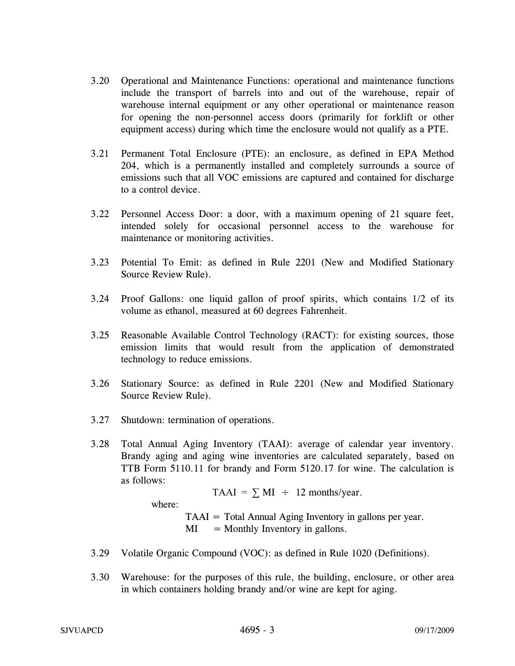- 3.20 Operational and Maintenance Functions: operational and maintenance functions include the transport of barrels into and out of the warehouse, repair of warehouse internal equipment or any other operational or maintenance reason for opening the non-personnel access doors (primarily for forklift or other equipment access) during which time the enclosure would not qualify as a PTE.
- 3.21 Permanent Total Enclosure (PTE): an enclosure, as defined in EPA Method 204, which is a permanently installed and completely surrounds a source of emissions such that all VOC emissions are captured and contained for discharge to a control device.
- 3.22 Personnel Access Door: a door, with a maximum opening of 21 square feet, intended solely for occasional personnel access to the warehouse for maintenance or monitoring activities.
- 3.23 Potential To Emit: as defined in Rule 2201 (New and Modified Stationary Source Review Rule).
- 3.24 Proof Gallons: one liquid gallon of proof spirits, which contains 1/2 of its volume as ethanol, measured at 60 degrees Fahrenheit.
- 3.25 Reasonable Available Control Technology (RACT): for existing sources, those emission limits that would result from the application of demonstrated technology to reduce emissions.
- 3.26 Stationary Source: as defined in Rule 2201 (New and Modified Stationary Source Review Rule).
- 3.27 Shutdown: termination of operations.
- 3.28 Total Annual Aging Inventory (TAAI): average of calendar year inventory. Brandy aging and aging wine inventories are calculated separately, based on TTB Form 5110.11 for brandy and Form 5120.17 for wine. The calculation is as follows:

TAAI =  $\Sigma$  MI ÷ 12 months/year. where: TAAI = Total Annual Aging Inventory in gallons per year.  $MI = Monthly Inventory in gallons.$ 

- 3.29 Volatile Organic Compound (VOC): as defined in Rule 1020 (Definitions).
- 3.30 Warehouse: for the purposes of this rule, the building, enclosure, or other area in which containers holding brandy and/or wine are kept for aging.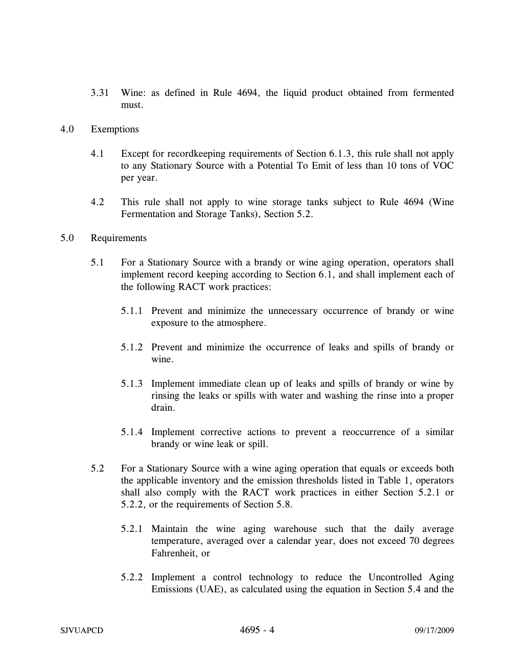- 3.31 Wine: as defined in Rule 4694, the liquid product obtained from fermented must.
- 4.0 Exemptions
	- 4.1 Except for recordkeeping requirements of Section 6.1.3, this rule shall not apply to any Stationary Source with a Potential To Emit of less than 10 tons of VOC per year.
	- 4.2 This rule shall not apply to wine storage tanks subject to Rule 4694 (Wine Fermentation and Storage Tanks), Section 5.2.
- 5.0 Requirements
	- 5.1 For a Stationary Source with a brandy or wine aging operation, operators shall implement record keeping according to Section 6.1, and shall implement each of the following RACT work practices:
		- 5.1.1 Prevent and minimize the unnecessary occurrence of brandy or wine exposure to the atmosphere.
		- 5.1.2 Prevent and minimize the occurrence of leaks and spills of brandy or wine.
		- 5.1.3 Implement immediate clean up of leaks and spills of brandy or wine by rinsing the leaks or spills with water and washing the rinse into a proper drain.
		- 5.1.4 Implement corrective actions to prevent a reoccurrence of a similar brandy or wine leak or spill.
	- 5.2 For a Stationary Source with a wine aging operation that equals or exceeds both the applicable inventory and the emission thresholds listed in Table 1, operators shall also comply with the RACT work practices in either Section 5.2.1 or 5.2.2, or the requirements of Section 5.8.
		- 5.2.1 Maintain the wine aging warehouse such that the daily average temperature, averaged over a calendar year, does not exceed 70 degrees Fahrenheit, or
		- 5.2.2 Implement a control technology to reduce the Uncontrolled Aging Emissions (UAE), as calculated using the equation in Section 5.4 and the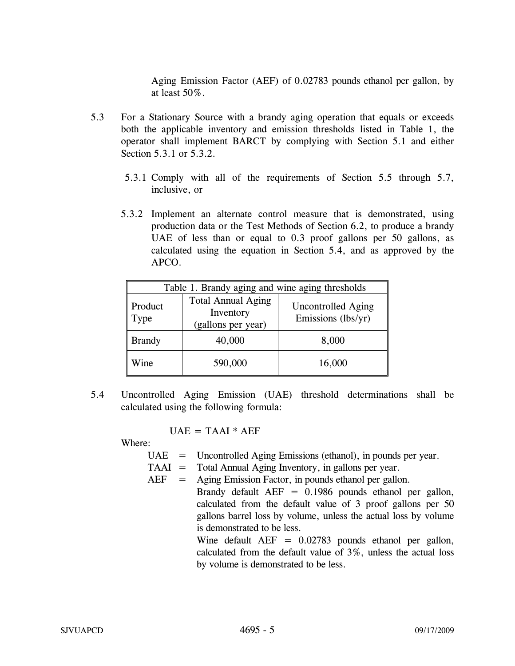Aging Emission Factor (AEF) of 0.02783 pounds ethanol per gallon, by at least 50%.

- 5.3 For a Stationary Source with a brandy aging operation that equals or exceeds both the applicable inventory and emission thresholds listed in Table 1, the operator shall implement BARCT by complying with Section 5.1 and either Section 5.3.1 or 5.3.2.
	- 5.3.1 Comply with all of the requirements of Section 5.5 through 5.7, inclusive, or
	- 5.3.2 Implement an alternate control measure that is demonstrated, using production data or the Test Methods of Section 6.2, to produce a brandy UAE of less than or equal to 0.3 proof gallons per 50 gallons, as calculated using the equation in Section 5.4, and as approved by the APCO.

| Table 1. Brandy aging and wine aging thresholds |                                                              |                                                 |
|-------------------------------------------------|--------------------------------------------------------------|-------------------------------------------------|
| Product<br>Type                                 | <b>Total Annual Aging</b><br>Inventory<br>(gallons per year) | <b>Uncontrolled Aging</b><br>Emissions (lbs/yr) |
| <b>Brandy</b>                                   | 40,000                                                       | 8,000                                           |
| Wine                                            | 590,000                                                      | 16,000                                          |

5.4 Uncontrolled Aging Emission (UAE) threshold determinations shall be calculated using the following formula:

 $UAE = TAAI * AEF$ 

Where:

- UAE = Uncontrolled Aging Emissions (ethanol), in pounds per year.
- TAAI = Total Annual Aging Inventory, in gallons per year.
- $AEF = Aging Emission Factor, in pounds ethanol per gallon.$ Brandy default  $AEF = 0.1986$  pounds ethanol per gallon, calculated from the default value of 3 proof gallons per 50 gallons barrel loss by volume, unless the actual loss by volume is demonstrated to be less.

Wine default  $AEF = 0.02783$  pounds ethanol per gallon, calculated from the default value of 3%, unless the actual loss by volume is demonstrated to be less.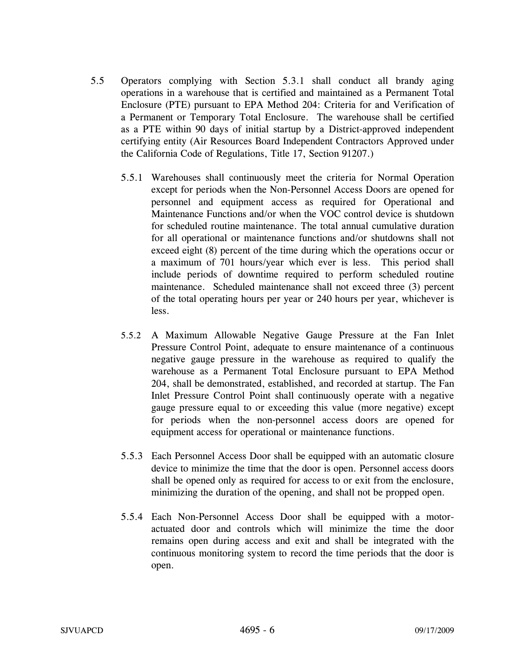- 5.5 Operators complying with Section 5.3.1 shall conduct all brandy aging operations in a warehouse that is certified and maintained as a Permanent Total Enclosure (PTE) pursuant to EPA Method 204: Criteria for and Verification of a Permanent or Temporary Total Enclosure. The warehouse shall be certified as a PTE within 90 days of initial startup by a District-approved independent certifying entity (Air Resources Board Independent Contractors Approved under the California Code of Regulations, Title 17, Section 91207.)
	- 5.5.1 Warehouses shall continuously meet the criteria for Normal Operation except for periods when the Non-Personnel Access Doors are opened for personnel and equipment access as required for Operational and Maintenance Functions and/or when the VOC control device is shutdown for scheduled routine maintenance. The total annual cumulative duration for all operational or maintenance functions and/or shutdowns shall not exceed eight (8) percent of the time during which the operations occur or a maximum of 701 hours/year which ever is less. This period shall include periods of downtime required to perform scheduled routine maintenance. Scheduled maintenance shall not exceed three (3) percent of the total operating hours per year or 240 hours per year, whichever is less.
	- 5.5.2 A Maximum Allowable Negative Gauge Pressure at the Fan Inlet Pressure Control Point, adequate to ensure maintenance of a continuous negative gauge pressure in the warehouse as required to qualify the warehouse as a Permanent Total Enclosure pursuant to EPA Method 204, shall be demonstrated, established, and recorded at startup. The Fan Inlet Pressure Control Point shall continuously operate with a negative gauge pressure equal to or exceeding this value (more negative) except for periods when the non-personnel access doors are opened for equipment access for operational or maintenance functions.
	- 5.5.3 Each Personnel Access Door shall be equipped with an automatic closure device to minimize the time that the door is open. Personnel access doors shall be opened only as required for access to or exit from the enclosure, minimizing the duration of the opening, and shall not be propped open.
	- 5.5.4 Each Non-Personnel Access Door shall be equipped with a motoractuated door and controls which will minimize the time the door remains open during access and exit and shall be integrated with the continuous monitoring system to record the time periods that the door is open.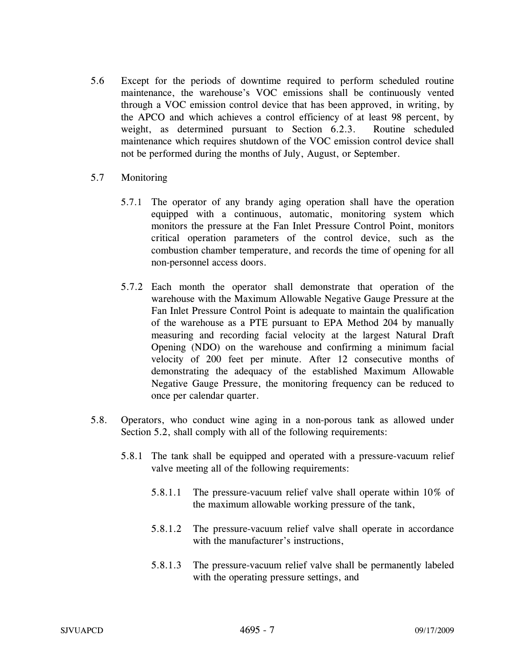- 5.6 Except for the periods of downtime required to perform scheduled routine maintenance, the warehouse's VOC emissions shall be continuously vented through a VOC emission control device that has been approved, in writing, by the APCO and which achieves a control efficiency of at least 98 percent, by weight, as determined pursuant to Section 6.2.3. Routine scheduled maintenance which requires shutdown of the VOC emission control device shall not be performed during the months of July, August, or September.
- 5.7 Monitoring
	- 5.7.1 The operator of any brandy aging operation shall have the operation equipped with a continuous, automatic, monitoring system which monitors the pressure at the Fan Inlet Pressure Control Point, monitors critical operation parameters of the control device, such as the combustion chamber temperature, and records the time of opening for all non-personnel access doors.
	- 5.7.2 Each month the operator shall demonstrate that operation of the warehouse with the Maximum Allowable Negative Gauge Pressure at the Fan Inlet Pressure Control Point is adequate to maintain the qualification of the warehouse as a PTE pursuant to EPA Method 204 by manually measuring and recording facial velocity at the largest Natural Draft Opening (NDO) on the warehouse and confirming a minimum facial velocity of 200 feet per minute. After 12 consecutive months of demonstrating the adequacy of the established Maximum Allowable Negative Gauge Pressure, the monitoring frequency can be reduced to once per calendar quarter.
- 5.8. Operators, who conduct wine aging in a non-porous tank as allowed under Section 5.2, shall comply with all of the following requirements:
	- 5.8.1 The tank shall be equipped and operated with a pressure-vacuum relief valve meeting all of the following requirements:
		- 5.8.1.1 The pressure-vacuum relief valve shall operate within 10% of the maximum allowable working pressure of the tank,
		- 5.8.1.2 The pressure-vacuum relief valve shall operate in accordance with the manufacturer's instructions,
		- 5.8.1.3 The pressure-vacuum relief valve shall be permanently labeled with the operating pressure settings, and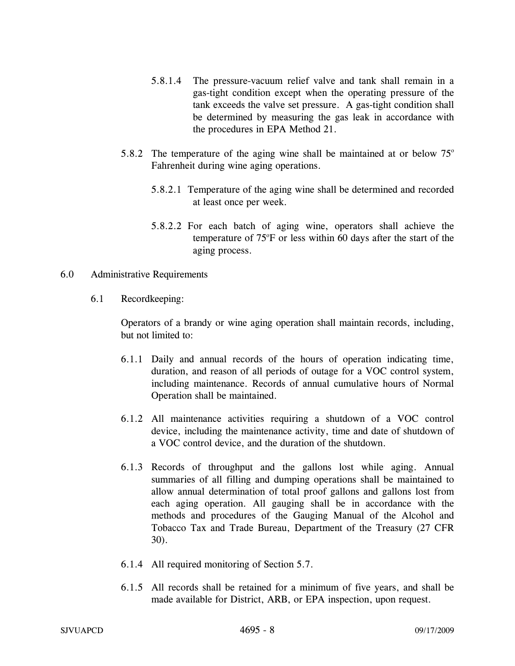- 5.8.1.4 The pressure-vacuum relief valve and tank shall remain in a gas-tight condition except when the operating pressure of the tank exceeds the valve set pressure. A gas-tight condition shall be determined by measuring the gas leak in accordance with the procedures in EPA Method 21.
- 5.8.2 The temperature of the aging wine shall be maintained at or below  $75^{\circ}$ Fahrenheit during wine aging operations.
	- 5.8.2.1 Temperature of the aging wine shall be determined and recorded at least once per week.
	- 5.8.2.2For each batch of aging wine, operators shall achieve the temperature of 75°F or less within 60 days after the start of the aging process.

## 6.0 Administrative Requirements

6.1 Recordkeeping:

Operators of a brandy or wine aging operation shall maintain records, including, but not limited to:

- 6.1.1 Daily and annual records of the hours of operation indicating time, duration, and reason of all periods of outage for a VOC control system, including maintenance. Records of annual cumulative hours of Normal Operation shall be maintained.
- 6.1.2 All maintenance activities requiring a shutdown of a VOC control device, including the maintenance activity, time and date of shutdown of a VOC control device, and the duration of the shutdown.
- 6.1.3 Records of throughput and the gallons lost while aging. Annual summaries of all filling and dumping operations shall be maintained to allow annual determination of total proof gallons and gallons lost from each aging operation. All gauging shall be in accordance with the methods and procedures of the Gauging Manual of the Alcohol and Tobacco Tax and Trade Bureau, Department of the Treasury (27 CFR 30).
- 6.1.4 All required monitoring of Section 5.7.
- 6.1.5 All records shall be retained for a minimum of five years, and shall be made available for District, ARB, or EPA inspection, upon request.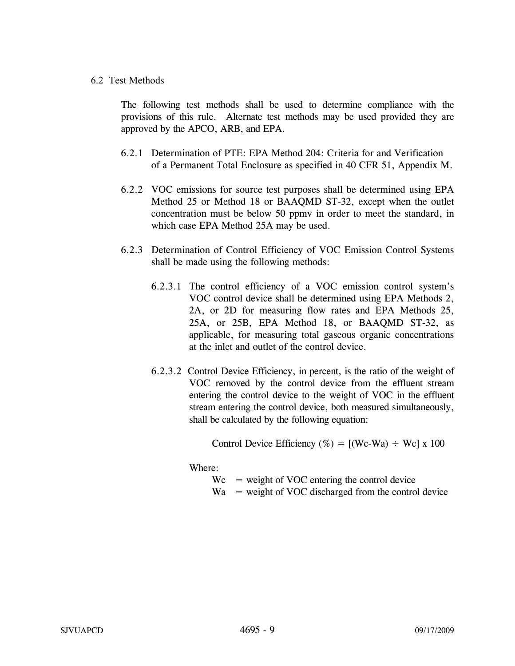## 6.2 Test Methods

The following test methods shall be used to determine compliance with the provisions of this rule. Alternate test methods may be used provided they are approved by the APCO, ARB, and EPA.

- 6.2.1 Determination of PTE: EPA Method 204: Criteria for and Verification of a Permanent Total Enclosure as specified in 40 CFR 51, Appendix M.
- 6.2.2 VOC emissions for source test purposes shall be determined using EPA Method 25 or Method 18 or BAAQMD ST-32, except when the outlet concentration must be below 50 ppmv in order to meet the standard, in which case EPA Method 25A may be used.
- 6.2.3 Determination of Control Efficiency of VOC Emission Control Systems shall be made using the following methods:
	- 6.2.3.1 The control efficiency of a VOC emission control system's VOC control device shall be determined using EPA Methods 2, 2A, or 2D for measuring flow rates and EPA Methods 25, 25A, or 25B, EPA Method 18, or BAAQMD ST-32, as applicable, for measuring total gaseous organic concentrations at the inlet and outlet of the control device.
	- 6.2.3.2 Control Device Efficiency, in percent, is the ratio of the weight of VOC removed by the control device from the effluent stream entering the control device to the weight of VOC in the effluent stream entering the control device, both measured simultaneously, shall be calculated by the following equation:

Control Device Efficiency (%) =  $[(We-Wa) \div We] \times 100$ 

Where:

- $Wc$  = weight of VOC entering the control device
- $Wa$  = weight of VOC discharged from the control device